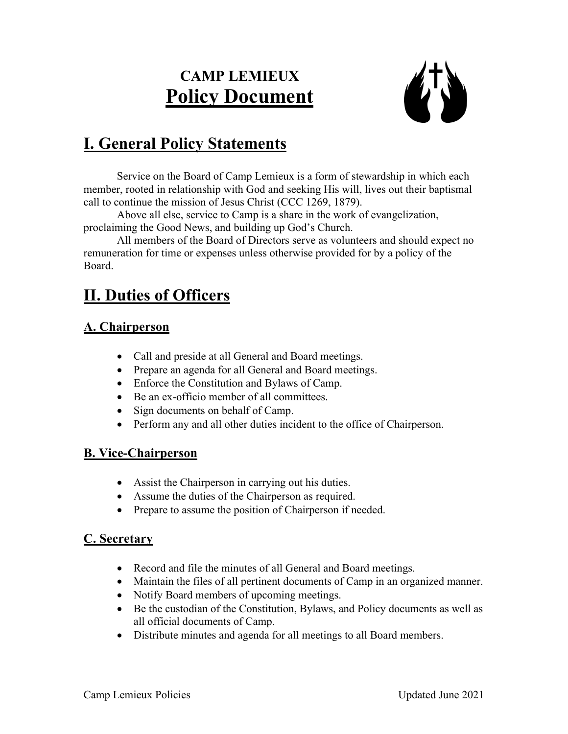# **CAMP LEMIEUX Policy Document**



## **I. General Policy Statements**

Service on the Board of Camp Lemieux is a form of stewardship in which each member, rooted in relationship with God and seeking His will, lives out their baptismal call to continue the mission of Jesus Christ (CCC 1269, 1879).

Above all else, service to Camp is a share in the work of evangelization, proclaiming the Good News, and building up God's Church.

All members of the Board of Directors serve as volunteers and should expect no remuneration for time or expenses unless otherwise provided for by a policy of the Board.

## **II. Duties of Officers**

### **A. Chairperson**

- Call and preside at all General and Board meetings.
- Prepare an agenda for all General and Board meetings.
- Enforce the Constitution and Bylaws of Camp.
- Be an ex-officio member of all committees.
- Sign documents on behalf of Camp.
- Perform any and all other duties incident to the office of Chairperson.

### **B. Vice-Chairperson**

- Assist the Chairperson in carrying out his duties.
- Assume the duties of the Chairperson as required.
- Prepare to assume the position of Chairperson if needed.

### **C. Secretary**

- Record and file the minutes of all General and Board meetings.
- Maintain the files of all pertinent documents of Camp in an organized manner.
- Notify Board members of upcoming meetings.
- Be the custodian of the Constitution, Bylaws, and Policy documents as well as all official documents of Camp.
- Distribute minutes and agenda for all meetings to all Board members.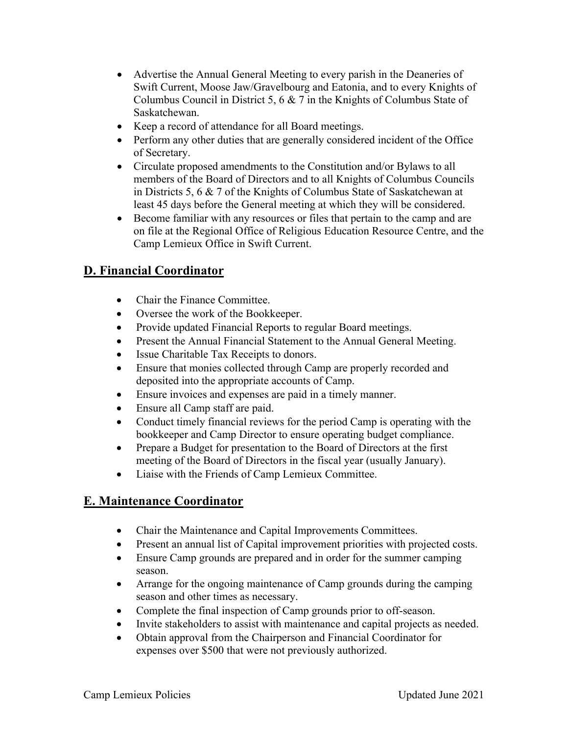- Advertise the Annual General Meeting to every parish in the Deaneries of Swift Current, Moose Jaw/Gravelbourg and Eatonia, and to every Knights of Columbus Council in District 5, 6 & 7 in the Knights of Columbus State of Saskatchewan.
- Keep a record of attendance for all Board meetings.
- Perform any other duties that are generally considered incident of the Office of Secretary.
- Circulate proposed amendments to the Constitution and/or Bylaws to all members of the Board of Directors and to all Knights of Columbus Councils in Districts 5, 6 & 7 of the Knights of Columbus State of Saskatchewan at least 45 days before the General meeting at which they will be considered.
- Become familiar with any resources or files that pertain to the camp and are on file at the Regional Office of Religious Education Resource Centre, and the Camp Lemieux Office in Swift Current.

### **D. Financial Coordinator**

- Chair the Finance Committee.
- Oversee the work of the Bookkeeper.
- Provide updated Financial Reports to regular Board meetings.
- Present the Annual Financial Statement to the Annual General Meeting.
- Issue Charitable Tax Receipts to donors.
- Ensure that monies collected through Camp are properly recorded and deposited into the appropriate accounts of Camp.
- Ensure invoices and expenses are paid in a timely manner.
- Ensure all Camp staff are paid.
- Conduct timely financial reviews for the period Camp is operating with the bookkeeper and Camp Director to ensure operating budget compliance.
- Prepare a Budget for presentation to the Board of Directors at the first meeting of the Board of Directors in the fiscal year (usually January).
- Liaise with the Friends of Camp Lemieux Committee.

### **E. Maintenance Coordinator**

- Chair the Maintenance and Capital Improvements Committees.
- Present an annual list of Capital improvement priorities with projected costs.
- Ensure Camp grounds are prepared and in order for the summer camping season.
- Arrange for the ongoing maintenance of Camp grounds during the camping season and other times as necessary.
- Complete the final inspection of Camp grounds prior to off-season.
- Invite stakeholders to assist with maintenance and capital projects as needed.
- Obtain approval from the Chairperson and Financial Coordinator for expenses over \$500 that were not previously authorized.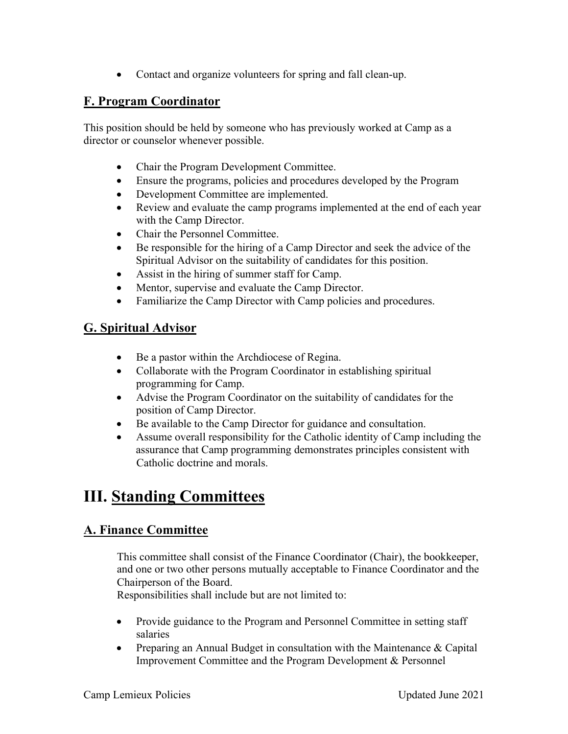• Contact and organize volunteers for spring and fall clean-up.

### **F. Program Coordinator**

This position should be held by someone who has previously worked at Camp as a director or counselor whenever possible.

- Chair the Program Development Committee.
- Ensure the programs, policies and procedures developed by the Program
- Development Committee are implemented.
- Review and evaluate the camp programs implemented at the end of each year with the Camp Director.
- Chair the Personnel Committee.
- Be responsible for the hiring of a Camp Director and seek the advice of the Spiritual Advisor on the suitability of candidates for this position.
- Assist in the hiring of summer staff for Camp.
- Mentor, supervise and evaluate the Camp Director.
- Familiarize the Camp Director with Camp policies and procedures.

### **G. Spiritual Advisor**

- Be a pastor within the Archdiocese of Regina.
- Collaborate with the Program Coordinator in establishing spiritual programming for Camp.
- Advise the Program Coordinator on the suitability of candidates for the position of Camp Director.
- Be available to the Camp Director for guidance and consultation.
- Assume overall responsibility for the Catholic identity of Camp including the assurance that Camp programming demonstrates principles consistent with Catholic doctrine and morals.

## **III. Standing Committees**

### **A. Finance Committee**

This committee shall consist of the Finance Coordinator (Chair), the bookkeeper, and one or two other persons mutually acceptable to Finance Coordinator and the Chairperson of the Board.

Responsibilities shall include but are not limited to:

- Provide guidance to the Program and Personnel Committee in setting staff salaries
- Preparing an Annual Budget in consultation with the Maintenance & Capital Improvement Committee and the Program Development & Personnel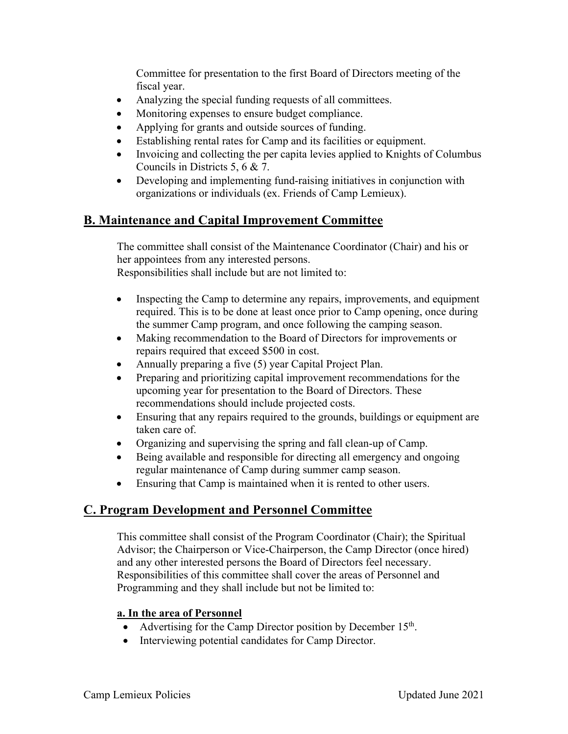Committee for presentation to the first Board of Directors meeting of the fiscal year.

- Analyzing the special funding requests of all committees.
- Monitoring expenses to ensure budget compliance.
- Applying for grants and outside sources of funding.
- Establishing rental rates for Camp and its facilities or equipment.
- Invoicing and collecting the per capita levies applied to Knights of Columbus Councils in Districts 5, 6 & 7.
- Developing and implementing fund-raising initiatives in conjunction with organizations or individuals (ex. Friends of Camp Lemieux).

### **B. Maintenance and Capital Improvement Committee**

The committee shall consist of the Maintenance Coordinator (Chair) and his or her appointees from any interested persons. Responsibilities shall include but are not limited to:

- Inspecting the Camp to determine any repairs, improvements, and equipment required. This is to be done at least once prior to Camp opening, once during the summer Camp program, and once following the camping season.
- Making recommendation to the Board of Directors for improvements or repairs required that exceed \$500 in cost.
- Annually preparing a five (5) year Capital Project Plan.
- Preparing and prioritizing capital improvement recommendations for the upcoming year for presentation to the Board of Directors. These recommendations should include projected costs.
- Ensuring that any repairs required to the grounds, buildings or equipment are taken care of.
- Organizing and supervising the spring and fall clean-up of Camp.
- Being available and responsible for directing all emergency and ongoing regular maintenance of Camp during summer camp season.
- Ensuring that Camp is maintained when it is rented to other users.

### **C. Program Development and Personnel Committee**

This committee shall consist of the Program Coordinator (Chair); the Spiritual Advisor; the Chairperson or Vice-Chairperson, the Camp Director (once hired) and any other interested persons the Board of Directors feel necessary. Responsibilities of this committee shall cover the areas of Personnel and Programming and they shall include but not be limited to:

#### **a. In the area of Personnel**

- Advertising for the Camp Director position by December 15<sup>th</sup>.
- Interviewing potential candidates for Camp Director.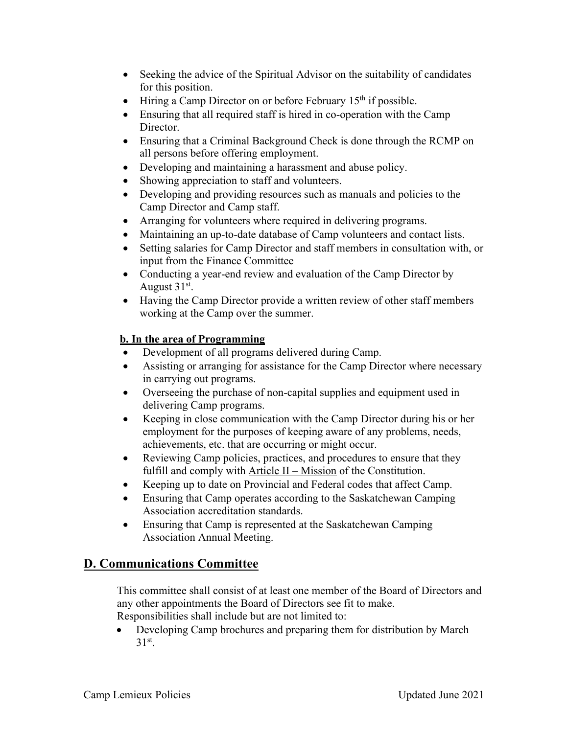- Seeking the advice of the Spiritual Advisor on the suitability of candidates for this position.
- Hiring a Camp Director on or before February  $15<sup>th</sup>$  if possible.
- Ensuring that all required staff is hired in co-operation with the Camp Director.
- Ensuring that a Criminal Background Check is done through the RCMP on all persons before offering employment.
- Developing and maintaining a harassment and abuse policy.
- Showing appreciation to staff and volunteers.
- Developing and providing resources such as manuals and policies to the Camp Director and Camp staff.
- Arranging for volunteers where required in delivering programs.
- Maintaining an up-to-date database of Camp volunteers and contact lists.
- Setting salaries for Camp Director and staff members in consultation with, or input from the Finance Committee
- Conducting a year-end review and evaluation of the Camp Director by August 31st.
- Having the Camp Director provide a written review of other staff members working at the Camp over the summer.

#### **b. In the area of Programming**

- Development of all programs delivered during Camp.
- Assisting or arranging for assistance for the Camp Director where necessary in carrying out programs.
- Overseeing the purchase of non-capital supplies and equipment used in delivering Camp programs.
- Keeping in close communication with the Camp Director during his or her employment for the purposes of keeping aware of any problems, needs, achievements, etc. that are occurring or might occur.
- Reviewing Camp policies, practices, and procedures to ensure that they fulfill and comply with Article II – Mission of the Constitution.
- Keeping up to date on Provincial and Federal codes that affect Camp.
- Ensuring that Camp operates according to the Saskatchewan Camping Association accreditation standards.
- Ensuring that Camp is represented at the Saskatchewan Camping Association Annual Meeting.

### **D. Communications Committee**

This committee shall consist of at least one member of the Board of Directors and any other appointments the Board of Directors see fit to make. Responsibilities shall include but are not limited to:

• Developing Camp brochures and preparing them for distribution by March  $31<sup>st</sup>$ .